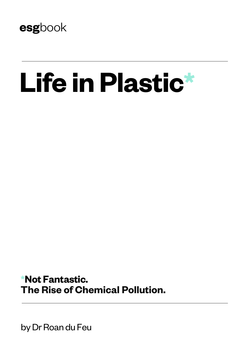

# **Life in Plastic\***

**\*Not Fantastic. The Rise of Chemical Pollution.**

by Dr Roan du Feu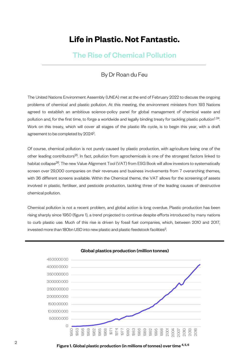# **Life in Plastic. Not Fantastic.**

# The Rise of Chemical Pollution

## By Dr Roan du Feu

The United Nations Environment Assembly (UNEA) met at the end of February 2022 to discuss the ongoing problems of chemical and plastic pollution. At this meeting, the environment ministers from 193 Nations agreed to establish an ambitious science-policy panel for global management of chemical waste and pollution and, for the first time, to forge a worldwide and legally binding treaty for tackling plastic pollution<sup>1, 24</sup>. Work on this treaty, which will cover all stages of the plastic life cycle, is to begin this year, with a draft agreement to be completed by 20242.

Of course, chemical pollution is not purely caused by plastic production, with agriculture being one of the other leading contributors<sup>25</sup>. In fact, pollution from agrochemicals is one of the strongest factors linked to habitat collapse<sup>26</sup>. The new Value Alignment Tool (VAT) from ESG Book will allow investors to systematically screen over 29,000 companies on their revenues and business involvements from 7 overarching themes, with 36 different screens available. Within the Chemical theme, the VAT allows for the screening of assets involved in plastic, fertiliser, and pesticide production, tackling three of the leading causes of destructive chemical pollution.

Chemical pollution is not a recent problem, and global action is long overdue. Plastic production has been rising sharply since 1950 (figure 1), a trend projected to continue despite efforts introduced by many nations to curb plastic use. Much of this rise is driven by fossil fuel companies, which, between 2010 and 2017, invested more than 180bn USD into new plastic and plastic feedstock facilities<sup>3</sup>.



#### Global plastics production (million tonnes)

 $2$  Figure 1. Global plastic production (in millions of tonnes) over time <sup>4, 5, 6</sup>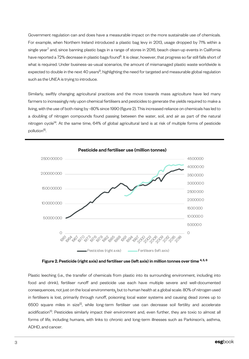Government regulation can and does have a measurable impact on the more sustainable use of chemicals. For example, when Northern Ireland introduced a plastic bag levy in 2013, usage dropped by 71% within a single year<sup>7</sup> and, since banning plastic bags in a range of stores in 2016, beach clean-up events in California have reported a 72% decrease in plastic bags found<sup>8</sup>. It is clear, however, that progress so far still falls short of what is required. Under business-as-usual scenarios, the amount of mismanaged plastic waste worldwide is expected to double in the next 40 years $^9$ , highlighting the need for targeted and measurable global regulation such as the UNEA is trying to introduce.

Similarly, swiftly changing agricultural practices and the move towards mass agriculture have led many farmers to increasingly rely upon chemical fertilisers and pesticides to generate the yields required to make a living, with the use of both rising by ~80% since 1990 (figure 2). This increased reliance on chemicals has led to a doubling of nitrogen compounds found passing between the water, soil, and air as part of the natural nitrogen cycle<sup>14</sup>. At the same time, 64% of global agricultural land is at risk of multiple forms of pesticide pollution<sup>15</sup>.



Figure 2. Pesticide (right axis) and fertiliser use (left axis) in million tonnes over time  $^{4,5,6}$ 

Plastic leeching (i.e., the transfer of chemicals from plastic into its surrounding environment, including into food and drink), fertiliser runoff and pesticide use each have multiple severe and well-documented consequences, not just on the local environments, but to human health at a global scale. 80% of nitrogen used in fertilisers is lost, primarily through runoff, poisoning local water systems and causing dead zones up to 6500 square miles in size<sup>12</sup>, while long-term fertiliser use can decrease soil fertility and accelerate acidification<sup>13</sup>. Pesticides similarly impact their environment and, even further, they are toxic to almost all forms of life, including humans, with links to chronic and long-term illnesses such as Parkinson's, asthma, ADHD, and cancer.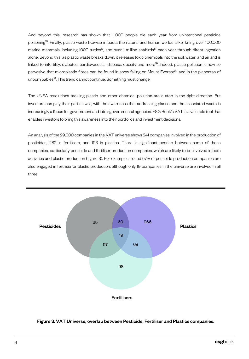And beyond this, research has shown that 11,000 people die each year from unintentional pesticide poisoning<sup>16</sup>. Finally, plastic waste likewise impacts the natural and human worlds alike, killing over 100,000 marine mammals, including 1000 turtles<sup>17</sup>, and over 1 million seabirds<sup>18</sup> each year through direct ingestion alone. Beyond this, as plastic waste breaks down, it releases toxic chemicals into the soil, water, and air and is linked to infertility, diabetes, cardiovascular disease, obesity and more<sup>19</sup>. Indeed, plastic pollution is now so pervasive that microplastic fibres can be found in snow falling on Mount Everest<sup>20</sup> and in the placentas of unborn babies<sup>21</sup>. This trend cannot continue. Something must change.

The UNEA resolutions tackling plastic and other chemical pollution are a step in the right direction. But investors can play their part as well, with the awareness that addressing plastic and the associated waste is increasingly a focus for government and intra-governmental agencies. ESG Book's VAT is a valuable tool that enables investors to bring this awareness into their portfolios and investment decisions.

An analysis of the 29,000 companies in the VAT universe shows 241 companies involved in the production of pesticides, 282 in fertilisers, and 1113 in plastics. There is significant overlap between some of these companies, particularly pesticide and fertiliser production companies, which are likely to be involved in both activities and plastic production (figure 3). For example, around 57% of pesticide production companies are also engaged in fertiliser or plastic production, although only 19 companies in the universe are involved in all three.



### Figure 3. VAT Universe, overlap between Pesticide, Fertiliser and Plastics companies.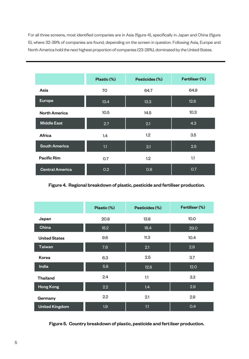For all three screens, most identified companies are in Asia (figure 4), specifically in Japan and China (figure 5), where 32-39% of companies are found, depending on the screen in question. Following Asia, Europe and North America hold the next highest proportion of companies (23-28%), dominated by the United States.

|                        | Plastic (%)      | Pesticides (%)    | Fertiliser (%)   |
|------------------------|------------------|-------------------|------------------|
| Asia                   | 70               | 64.7              | 64.9             |
| <b>Europe</b>          | 13.4             | 13.3 <sub>1</sub> | 12.8             |
| <b>North America</b>   | 10.5             | 14.5              | 10.3             |
| <b>Middle East</b>     | 2.7              | 2.1               | 4.3              |
| Africa                 | 1.4              | 1.2               | 3.5              |
| <b>South America</b>   | 1.1              | 2.1               | $2.\overline{5}$ |
| Pacific Rim            | 0.7              | 1.2               | 1.1              |
| <b>Central America</b> | 0.2 <sub>0</sub> | 0.8               | 0.7              |

Figure 4. Regional breakdown of plastic, pesticide and fertiliser production.

|                       | Plastic (%) | Pesticides (%) | Fertiliser (%) |
|-----------------------|-------------|----------------|----------------|
| Japan                 | 20.8        | 13.8           | 10.0           |
| China                 | 18.2        | 18.4           | 29.0           |
| <b>United States</b>  | 9.6         | 11.3           | 10.4           |
| <b>Taiwan</b>         | 7.6         | 2.1            | 2.9            |
| Korea                 | 6.3         | 2.5            | 3.7            |
| India                 | 5.8         | 12.8           | 12.0           |
| <b>Thailand</b>       | 2.4         | 1.1            | 3.3            |
| <b>Hong Kong</b>      | 2.2         | 1.4            | 2.9            |
| Germany               | 2.2         | 2.1            | 2.9            |
| <b>United Kingdom</b> | 1.9         | 1.1            | 0.4            |

Figure 5. Country breakdown of plastic, pesticide and fertiliser production.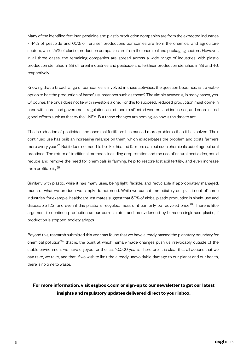Many of the identified fertiliser, pesticide and plastic production companies are from the expected industries - 44% of pesticide and 60% of fertiliser productions companies are from the chemical and agriculture sectors, while 25% of plastic production companies are from the chemical and packaging sectors. However, in all three cases, the remaining companies are spread across a wide range of industries, with plastic production identified in 89 different industries and pesticide and fertiliser production identified in 39 and 46, respectively.

Knowing that a broad range of companies is involved in these activities, the question becomes: is it a viable option to halt the production of harmful substances such as these? The simple answer is, in many cases, yes. Of course, the onus does not lie with investors alone. For this to succeed, reduced production must come in hand with increased government regulation, assistance to affected workers and industries, and coordinated global efforts such as that by the UNEA. But these changes are coming, so now is the time to act.

The introduction of pesticides and chemical fertilisers has caused more problems than it has solved. Their continued use has built an increasing reliance on them, which exacerbates the problem and costs farmers more every year<sup>22</sup>. But it does not need to be like this, and farmers can cut such chemicals out of agricultural practices. The return of traditional methods, including crop rotation and the use of natural pesticides, could reduce and remove the need for chemicals in farming, help to restore lost soil fertility, and even increase farm profitability<sup>25</sup>.

Similarly with plastic, while it has many uses, being light, flexible, and recyclable if appropriately managed, much of what we produce we simply do not need. While we cannot immediately cut plastic out of some industries, for example, healthcare, estimates suggest that 50% of global plastic production is single-use and disposable [23] and even if this plastic is recycled, most of it can only be recycled once<sup>26</sup>. There is little argument to continue production as our current rates and, as evidenced by bans on single-use plastic, if production is stopped, society adapts.

Beyond this, research submitted this year has found that we have already passed the planetary boundary for chemical pollution<sup>24</sup>, that is, the point at which human-made changes push us irrevocably outside of the stable environment we have enjoyed for the last 10,000 years. Therefore, it is clear that all actions that we can take, we take, and that, if we wish to limit the already unavoidable damage to our planet and our health, there is no time to waste.

## **For more information, visit esgbook.com or sign-up to our newsletter to get our latest insights and regulatory updates delivered direct to your inbox.**